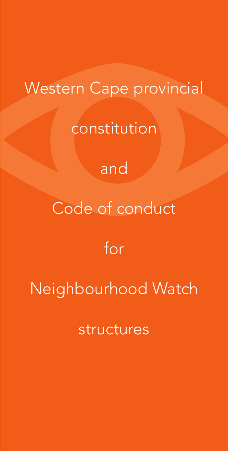# Western Cape provincial

constitution

# and

# Code of conduct

# for

# Neighbourhood Watch

structures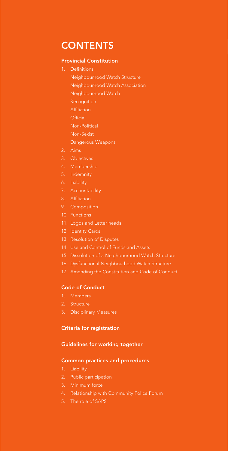# **CONTENTS**

### Provincial Constitution

- 1. Definitions
	- Neighbourhood Watch Structure
	- Neighbourhood Watch Association
	- Neighbourhood Watch
	- Recognition
	- Affiliation
	- **Official** Non-Political
	- Non-Sexist
	- Dangerous Weapons
- 2. Aims
- 3. Objectives
- 4. Membership
- 5. Indemnity
- 
- 7. Accountability
- 8. Affiliation
- 9. Composition
- 10. Functions
- 11. Logos and Letter heads
- 
- 13. Resolution of Disputes
- 14. Use and Control of Funds and Assets
- 15. Dissolution of a Neighbourhood Watch Structure
- 16. Dysfunctional Neighbourhood Watch Structure
- 17. Amending the Constitution and Code of Conduct

# Code of Conduct

- 1. Members
- 2. Structure
- 3. Disciplinary Measures

## Criteria for registration

## Guidelines for working together

#### Common practices and procedures

- 
- 2. Public participation
- 3. Minimum force
- 
- 5. The role of SAPS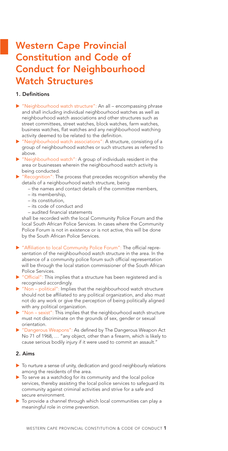# Western Cape Provincial Constitution and Code of Conduct for Neighbourhood Watch Structures

## 1. Definitions

- E "Neighbourhood watch structure": An all encompassing phrase and shall including individual neighbourhood watches as well as neighbourhood watch associations and other structures such as street committees, street watches, block watches, farm watches, business watches, flat watches and any neighbourhood watching activity deemed to be related to the definition.
- E "Neighbourhood watch associations": A structure, consisting of a group of neighbourhood watches or such structures as referred to above.
- E "Neighbourhood watch": A group of individuals resident in the area or businesses wherein the neighbourhood watch activity is being conducted.
- $\blacktriangleright$  "Recognition": The process that precedes recognition whereby the details of a neighbourhood watch structure, being
	- the names and contact details of the committee members,
	- its membership,
	- its constitution,
	- its code of conduct and
	- audited financial statements

shall be recorded with the local Community Police Forum and the local South African Police Services. In cases where the Community Police Forum is not in existence or is not active, this will be done by the South African Police Services.

- E "Affiliation to local Community Police Forum": The official representation of the neighbourhood watch structure in the area. In the absence of a community police forum such official representation will be through the local station commissioner of the South African Police Services.
- **F** "Official": This implies that a structure has been registered and is recognised accordingly.
- $\triangleright$  "Non political": Implies that the neighbourhood watch structure should not be affiliated to any political organization, and also must not do any work or give the perception of being politically aligned with any political organization.
- $\triangleright$  "Non sexist": This implies that the neighbourhood watch structure must not discriminate on the grounds of sex, gender or sexual orientation.
- "Dangerous Weapons": As defined by The Dangerous Weapon Act No 71 of 1968, … "any object, other than a firearm, which is likely to cause serious bodily injury if it were used to commit an assault."

### 2. Aims

- $\blacktriangleright$  To nurture a sense of unity, dedication and good neighbourly relations among the residents of the area.
- $\triangleright$  To serve as a watchdog for its community and the local police services, thereby assisting the local police services to safeguard its community against criminal activities and strive for a safe and secure environment.
- $\triangleright$  To provide a channel through which local communities can play a meaningful role in crime prevention.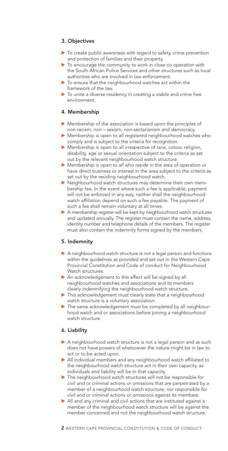# 3. Objectives

- $\blacktriangleright$  To create public awareness with regard to safety, crime prevention and protection of families and their property.
- $\blacktriangleright$  To encourage the community to work in close co-operation with the South African Police Services and other structures such as local authorities who are involved in law enforcement.
- $\blacktriangleright$  To ensure that the neighbourhood watches act within the framework of the law.
- $\blacktriangleright$  To unite a diverse residency in creating a stable and crime free environment.

## 4. Membership

- E Membership of the association is based upon the principles of non-racism, non – sexism, non-sectarianism and democracy.
- E Membership is open to all registered neighbourhood watches who comply and is subject to the criteria for recognition.
- E Membership is open to all irrespective of race, colour, religion, disability, age or sexual orientation subject to the criteria as set out by the relevant neighbourhood watch structure.
- E Membership is open to all who reside in the area of operation or have direct business or interest in the area subject to the criteria as set out by the residing neighbourhood watch.
- **E** Neighbourhood watch structures may determine their own membership fee. In the event where such a fee is applicable, payment will not be enforced in any way, neither shall the neighbourhood watch affiliation depend on such a fee payable. The payment of such a fee shall remain voluntary at all times.
- A membership register will be kept by neighbourhood watch structures and updated annually. The register must contain the name, address, identity number and telephone details of the members. The register must also contain the indemnity forms signed by the members.

### 5. Indemnity

- A neighbourhood watch structure is not a legal person and functions within the guidelines as provided and set out in the Western Cape Provincial Constitution and Code of conduct for Neighbourhood Watch structures.
- An acknowledgement to this effect will be signed by all neighbourhood watches and associations and its members clearly indemnifying the neighbourhood watch structure.
- This acknowledgement must clearly state that a neighbourhood watch structure is a voluntary association.
- $\blacktriangleright$  The same acknowledgement must be completed by all neighbourhood watch and or associations before joining a neighbourhood watch structure.

### 6. Liability

- A neighbourhood watch structure is not a legal person and as such does not have powers of whatsoever the nature might be in law to act or to be acted upon.
- All individual members and any neighbourhood watch affiliated to the neighbourhood watch structure act in their own capacity, as individuals and liability will be in that capacity.
- $\triangleright$  The neighbourhood watch structures will not be responsible for civil and or criminal actions or omissions that are perpetrated by a member of a neighbourhood watch structure, nor responsible for civil and or criminal actions or omissions against its members.
- All and any criminal and civil actions that are instituted against a member of the neighbourhood watch structure will be against the member concerned and not the neighbourhood watch structure.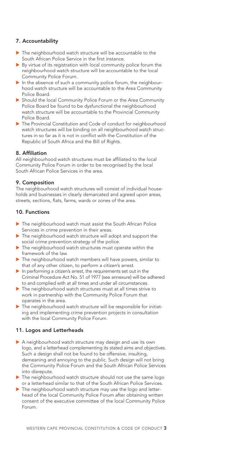## 7. Accountability

- The neighbourhood watch structure will be accountable to the South African Police Service in the first instance.
- $\triangleright$  By virtue of its registration with local community police forum the neighbourhood watch structure will be accountable to the local Community Police Forum.
- $\blacktriangleright$  In the absence of such a community police forum, the neighbourhood watch structure will be accountable to the Area Community Police Board.
- E Should the local Community Police Forum or the Area Community Police Board be found to be dysfunctional the neighbourhood watch structure will be accountable to the Provincial Community Police Board.
- The Provincial Constitution and Code of conduct for neighbourhood watch structures will be binding on all neighbourhood watch structures in so far as it is not in conflict with the Constitution of the Republic of South Africa and the Bill of Rights.

### 8. Affiliation

All neighbourhood watch structures must be affiliated to the local Community Police Forum in order to be recognised by the local South African Police Services in the area.

### 9. Composition

The neighbourhood watch structures will consist of individual households and businesses in clearly demarcated and agreed upon areas, streets, sections, flats, farms, wards or zones of the area.

# 10. Functions

- ▶ The neighbourhood watch must assist the South African Police Services in crime prevention in their areas.
- $\blacktriangleright$  The neighbourhood watch structure will adopt and support the social crime prevention strategy of the police.
- E The neighbourhood watch structures must operate within the framework of the law.
- The neighbourhood watch members will have powers, similar to that of any other citizen, to perform a citizen's arrest.
- $\blacktriangleright$  In performing a citizen's arrest, the requirements set out in the Criminal Procedure Act No. 51 of 1977 (see annexure) will be adhered to and complied with at all times and under all circumstances.
- The neighbourhood watch structures must at all times strive to work in partnership with the Community Police Forum that operates in the area.
- $\blacktriangleright$  The neighbourhood watch structure will be responsible for initiating and implementing crime prevention projects in consultation with the local Community Police Forum.

# 11. Logos and Letterheads

- A neighbourhood watch structure may design and use its own logo, and a letterhead complementing its stated aims and objectives. Such a design shall not be found to be offensive, insulting, demeaning and annoying to the public. Such design will not bring the Community Police Forum and the South African Police Services into disrepute.
- $\triangleright$  The neighbourhood watch structure should not use the same logo or a letterhead similar to that of the South African Police Services.
- The neighbourhood watch structure may use the logo and letterhead of the local Community Police Forum after obtaining written consent of the executive committee of the local Community Police Forum.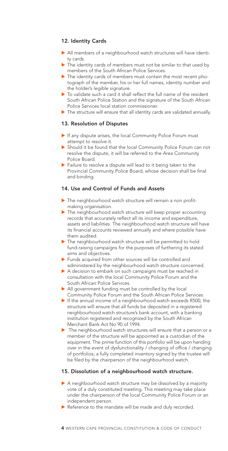# 12. Identity Cards

- All members of a neighbourhood watch structures will have identity cards.
- $\blacktriangleright$  The identity cards of members must not be similar to that used by members of the South African Police Services.
- $\blacktriangleright$  The identity cards of members must contain the most recent photograph of the member, his or her full names, identity number and the holder's legible signature.
- $\triangleright$  To validate such a card it shall reflect the full name of the resident South African Police Station and the signature of the South African Police Services local station commissioner.
- The structure will ensure that all identity cards are validated annually.

### 13. Resolution of Disputes

- If any dispute arises, the local Community Police Forum must attempt to resolve it.
- E Should it be found that the local Community Police Forum can not resolve the dispute, it will be referred to the Area Community Police Board.
- **Failure to resolve a dispute will lead to it being taken to the** Provincial Community Police Board, whose decision shall be final and binding.

### 14. Use and Control of Funds and Assets

- $\blacktriangleright$  The neighbourhood watch structure will remain a non profitmaking organisation.
- $\blacktriangleright$  The neighbourhood watch structure will keep proper accounting records that accurately reflect all its income and expenditure, assets and liabilities. The neighbourhood watch structure will have its financial accounts reviewed annually and where possible have them audited.
- $\blacktriangleright$  The neighbourhood watch structure will be permitted to hold fund-raising campaigns for the purposes of furthering its stated aims and objectives.
- Funds acquired from other sources will be controlled and administered by the neighbourhood watch structure concerned.
- A decision to embark on such campaigns must be reached in consultation with the local Community Police Forum and the South African Police Services.
- All government funding must be controlled by the local Community Police Forum and the South African Police Services.
- $\blacktriangleright$  If the annual income of a neighbourhood watch exceeds R500, the structure will ensure that all funds be deposited in a registered neighbourhood watch structure's bank account, with a banking institution registered and recognized by the South African Merchant Bank Act No 90 of 1994.
- **Fig.** The neighbourhood watch structures will ensure that a person or a member of the structure will be appointed as a custodian of the equipment. The prime function of this portfolio will be upon handing over in the event of dysfunctionality / changing of office / changing of portfolios; a fully completed inventory signed by the trustee will be filed by the chairperson of the neighbourhood watch.

### 15. Dissolution of a neighbourhood watch structure.

- $\triangleright$  A neighbourhood watch structure may be dissolved by a majority vote of a duly constituted meeting. This meeting may take place under the chairperson of the local Community Police Forum or an independent person.
- Reference to the mandate will be made and duly recorded.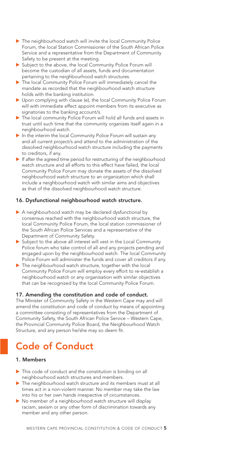- The neighbourhood watch will invite the local Community Police Forum, the local Station Commissioner of the South African Police Service and a representative from the Department of Community Safety to be present at the meeting.
- ▶ Subiect to the above, the local Community Police Forum will become the custodian of all assets, funds and documentation pertaining to the neighbourhood watch structures.
- The local Community Police Forum will immediately cancel the mandate as recorded that the neighbourhood watch structure holds with the banking institution.
- De Upon complying with clause (e), the local Community Police Forum will with immediate effect appoint members from its executive as signatories to the banking account/s.
- The local community Police Forum will hold all funds and assets in trust until such time that the community organizes itself again in a neighbourhood watch.
- In the interim the local Community Police Forum will sustain any and all current project/s and attend to the administration of the dissolved neighbourhood watch structure including the payments to creditors, if any.
- $\blacktriangleright$  If after the agreed time period for restructuring of the neighbourhood watch structure and all efforts to this effect have failed, the local Community Police Forum may donate the assets of the dissolved neighbourhood watch structure to an organization which shall include a neighbourhood watch with similar aims and objectives as that of the dissolved neighbourhood watch structure.

## 16. Dysfunctional neighbourhood watch structure.

- A neighbourhood watch may be declared dysfunctional by consensus reached with the neighbourhood watch structure, the local Community Police Forum, the local station commissioner of the South African Police Services and a representative of the Department of Community Safety.
- $\triangleright$  Subject to the above all interest will vest in the Local Community Police forum who take control of all and any projects pending and engaged upon by the neighbourhood watch. The local Community Police Forum will administer the funds and cover all creditors if any.
- $\blacktriangleright$  The neighbourhood watch structure, together with the local Community Police Forum will employ every effort to re-establish a neighbourhood watch or any organisation with similar objectives that can be recognized by the local Community Police Forum.

## 17. Amending the constitution and code of conduct.

The Minister of Community Safety in the Western Cape may and will amend the constitution and code of conduct by means of appointing a committee consisting of representatives from the Department of Community Safety, the South African Police Service – Western Cape, the Provincial Community Police Board, the Neighbourhood Watch Structure, and any person he/she may so deem fit.

# Code of Conduct

#### 1. Members

- In This code of conduct and the constitution is binding on all neighbourhood watch structures and members.
- The neighbourhood watch structure and its members must at all times act in a non-violent manner. No member may take the law into his or her own hands irrespective of circumstances.
- E No member of a neighbourhood watch structure will display racism, sexism or any other form of discrimination towards any member and any other person.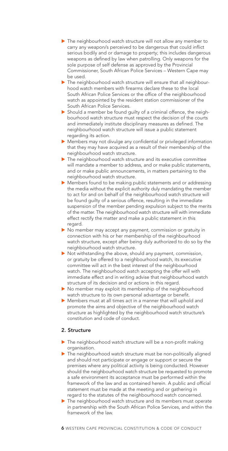- The neighbourhood watch structure will not allow any member to carry any weapon/s perceived to be dangerous that could inflict serious bodily and or damage to property; this includes dangerous weapons as defined by law when patrolling. Only weapons for the sole purpose of self defense as approved by the Provincial Commissioner, South African Police Services – Western Cape may be used.
- The neighbourhood watch structure will ensure that all neighbourhood watch members with firearms declare these to the local South African Police Services or the office of the neighbourhood watch as appointed by the resident station commissioner of the South African Police Services.
- E Should a member be found guilty of a criminal offence, the neighbourhood watch structure must respect the decision of the courts and immediately institute disciplinary measures as defined. The neighbourhood watch structure will issue a public statement regarding its action.
- **EXECUTE:** Members may not divulge any confidential or privileged information that they may have acquired as a result of their membership of the neighbourhood watch structure.
- $\blacktriangleright$  The neighbourhood watch structure and its executive committee will mandate a member to address, and or make public statements, and or make public announcements, in matters pertaining to the neighbourhood watch structure.
- E Members found to be making public statements and or addressing the media without the explicit authority duly mandating the member to act for and on behalf of the neighbourhood watch structure will be found guilty of a serious offence, resulting in the immediate suspension of the member pending expulsion subject to the merits of the matter. The neighbourhood watch structure will with immediate effect rectify the matter and make a public statement in this regard.
- No member may accept any payment, commission or gratuity in connection with his or her membership of the neighbourhood watch structure, except after being duly authorized to do so by the neighbourhood watch structure.
- $\blacktriangleright$  Not withstanding the above, should any payment, commission, or gratuity be offered to a neighbourhood watch, its executive committee will act in the best interest of the neighbourhood watch. The neighbourhood watch accepting the offer will with immediate effect and in writing advise that neighbourhood watch structure of its decision and or actions in this regard.
- $\triangleright$  No member may exploit its membership of the neighbourhood watch structure to its own personal advantage or benefit.
- E Members must at all times act in a manner that will uphold and promote the aims and objective of the neighbourhood watch structure as highlighted by the neighbourhood watch structure's constitution and code of conduct.

### 2. Structure

- $\blacktriangleright$  The neighbourhood watch structure will be a non-profit making organisation.
- The neighbourhood watch structure must be non-politically aligned and should not participate or engage or support or secure the premises where any political activity is being conducted. However should the neighbourhood watch structure be requested to promote a safe environment its acceptance must be performed within the framework of the law and as contained herein. A public and official statement must be made at the meeting and or gathering in regard to the statutes of the neighbourhood watch concerned.
- The neighbourhood watch structure and its members must operate in partnership with the South African Police Services, and within the framework of the law.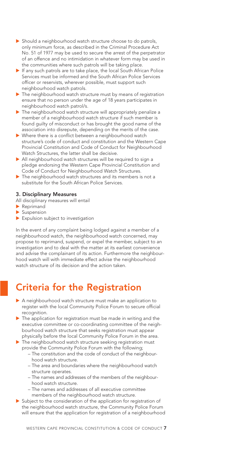- **B** Should a neighbourhood watch structure choose to do patrols, only minimum force, as described in the Criminal Procedure Act No. 51 of 1977 may be used to secure the arrest of the perpetrator of an offence and no intimidation in whatever form may be used in the communities where such patrols will be taking place.
- $\blacktriangleright$  If any such patrols are to take place, the local South African Police Services must be informed and the South African Police Services officer or reservists, wherever possible, must support such neighbourhood watch patrols.
- $\blacktriangleright$  The neighbourhood watch structure must by means of registration ensure that no person under the age of 18 years participates in neighbourhood watch patrol/s.
- The neighbourhood watch structure will appropriately penalize a member of a neighbourhood watch structure if such member is found guilty of misconduct or has brought the good name of the association into disrepute, depending on the merits of the case.
- $\blacktriangleright$  Where there is a conflict between a neighbourhood watch structure's code of conduct and constitution and the Western Cape Provincial Constitution and Code of Conduct for Neighbourhood Watch Structures, the latter shall be decisive.
- All neighbourhood watch structures will be required to sign a pledge endorsing the Western Cape Provincial Constitution and Code of Conduct for Neighbourhood Watch Structures.
- $\blacktriangleright$  The neighbourhood watch structures and its members is not a substitute for the South African Police Services.

#### 3. Disciplinary Measures

All disciplinary measures will entail

- $\blacktriangleright$  Reprimand
- $\blacktriangleright$  Suspension
- $\blacktriangleright$  Expulsion subject to investigation

In the event of any complaint being lodged against a member of a neighbourhood watch, the neighbourhood watch concerned, may propose to reprimand, suspend, or expel the member, subject to an investigation and to deal with the matter at its earliest convenience and advise the complainant of its action. Furthermore the neighbourhood watch will with immediate effect advise the neighbourhood watch structure of its decision and the action taken.

# Criteria for the Registration

- A neighbourhood watch structure must make an application to register with the local Community Police Forum to secure official recognition.
- $\blacktriangleright$  The application for registration must be made in writing and the executive committee or co-coordinating committee of the neighbourhood watch structure that seeks registration must appear physically before the local Community Police Forum in the area.

 $\blacktriangleright$  The neighbourhood watch structure seeking registration must provide the Community Police Forum with the following;

- The constitution and the code of conduct of the neighbourhood watch structure.
- The area and boundaries where the neighbourhood watch structure operates.
- The names and addresses of the members of the neighbourhood watch structure.
- The names and addresses of all executive committee members of the neighbourhood watch structure.
- Subject to the consideration of the application for registration of the neighbourhood watch structure, the Community Police Forum will ensure that the application for registration of a neighbourhood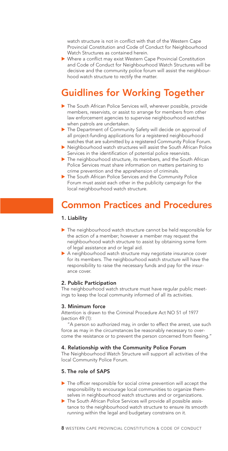watch structure is not in conflict with that of the Western Cape Provincial Constitution and Code of Conduct for Neighbourhood Watch Structures as contained herein.

E Where a conflict may exist Western Cape Provincial Constitution and Code of Conduct for Neighbourhood Watch Structures will be decisive and the community police forum will assist the neighbourhood watch structure to rectify the matter.

# Guidlines for Working Together

- The South African Police Services will, wherever possible, provide members, reservists, or assist to arrange for members from other law enforcement agencies to supervise neighbourhood watches when patrols are undertaken.
- The Department of Community Safety will decide on approval of all project-funding applications for a registered neighbourhood watches that are submitted by a registered Community Police Forum.
- Reighbourhood watch structures will assist the South African Police Services in the identification of potential police reservists.
- The neighbourhood structure, its members, and the South African Police Services must share information on matters pertaining to crime prevention and the apprehension of criminals.
- ▶ The South African Police Services and the Community Police Forum must assist each other in the publicity campaign for the local neighbourhood watch structure.

# Common Practices and Procedures

#### 1. Liability

- $\blacktriangleright$  The neighbourhood watch structure cannot be held responsible for the action of a member; however a member may request the neighbourhood watch structure to assist by obtaining some form of legal assistance and or legal aid.
- A neighbourhood watch structure may negotiate insurance cover for its members. The neighbourhood watch structure will have the responsibility to raise the necessary funds and pay for the insurance cover.

#### 2. Public Participation

The neighbourhood watch structure must have regular public meetings to keep the local community informed of all its activities.

#### 3. Minimum force

Attention is drawn to the Criminal Procedure Act NO 51 of 1977 (section 49 (1):

"A person so authorized may, in order to effect the arrest, use such force as may in the circumstances be reasonably necessary to overcome the resistance or to prevent the person concerned from fleeing."

#### 4. Relationship with the Community Police Forum

The Neighbourhood Watch Structure will support all activities of the local Community Police Forum.

#### 5. The role of SAPS

- $\triangleright$  The officer responsible for social crime prevention will accept the responsibility to encourage local communities to organize themselves in neighbourhood watch structures and or organizations.
- The South African Police Services will provide all possible assistance to the neighbourhood watch structure to ensure its smooth running within the legal and budgetary constrains on it.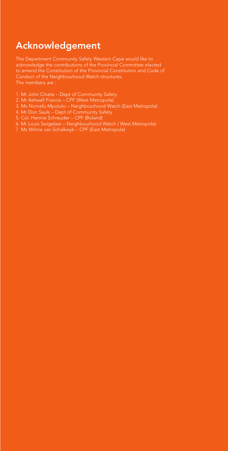# Acknowledgement

The Department Community Safety Western Cape would like to acknowledge the contributions of the Provincial Committee elected to amend the Constitution of the Provincial Constitution and Code of Conduct of the Neighbourhood Watch structures. The members are :

- 1. Mr John Cloete Dept of Community Safety
- 2. Mr Ashwell Francis CPF (West Metropole)
- 3. Ms Nomafu Mpotulo Neighbourhood Watch (East Metropole)
- 
- 5. Col. Hennie Schreuder CPF (Boland)
- 6. Mr Louis Swigelaar Neighbourhood Watch ( West Metropole)
- 7. Ms Wilme van Schalkwyk CPF (East Metropole)